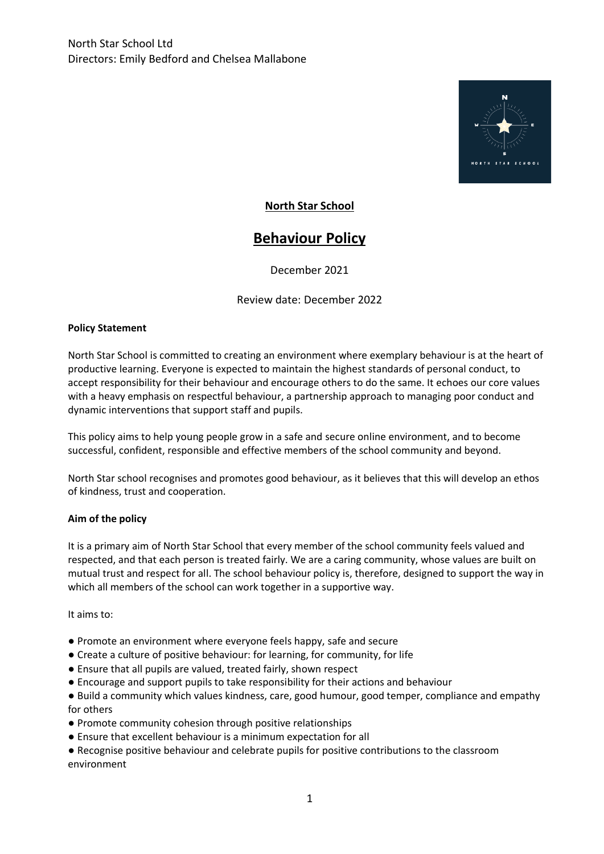

## **North Star School**

# **Behaviour Policy**

December 2021

Review date: December 2022

#### **Policy Statement**

North Star School is committed to creating an environment where exemplary behaviour is at the heart of productive learning. Everyone is expected to maintain the highest standards of personal conduct, to accept responsibility for their behaviour and encourage others to do the same. It echoes our core values with a heavy emphasis on respectful behaviour, a partnership approach to managing poor conduct and dynamic interventions that support staff and pupils.

This policy aims to help young people grow in a safe and secure online environment, and to become successful, confident, responsible and effective members of the school community and beyond.

North Star school recognises and promotes good behaviour, as it believes that this will develop an ethos of kindness, trust and cooperation.

#### **Aim of the policy**

It is a primary aim of North Star School that every member of the school community feels valued and respected, and that each person is treated fairly. We are a caring community, whose values are built on mutual trust and respect for all. The school behaviour policy is, therefore, designed to support the way in which all members of the school can work together in a supportive way.

It aims to:

- Promote an environment where everyone feels happy, safe and secure
- Create a culture of positive behaviour: for learning, for community, for life
- Ensure that all pupils are valued, treated fairly, shown respect
- Encourage and support pupils to take responsibility for their actions and behaviour
- Build a community which values kindness, care, good humour, good temper, compliance and empathy for others
- Promote community cohesion through positive relationships
- Ensure that excellent behaviour is a minimum expectation for all
- Recognise positive behaviour and celebrate pupils for positive contributions to the classroom environment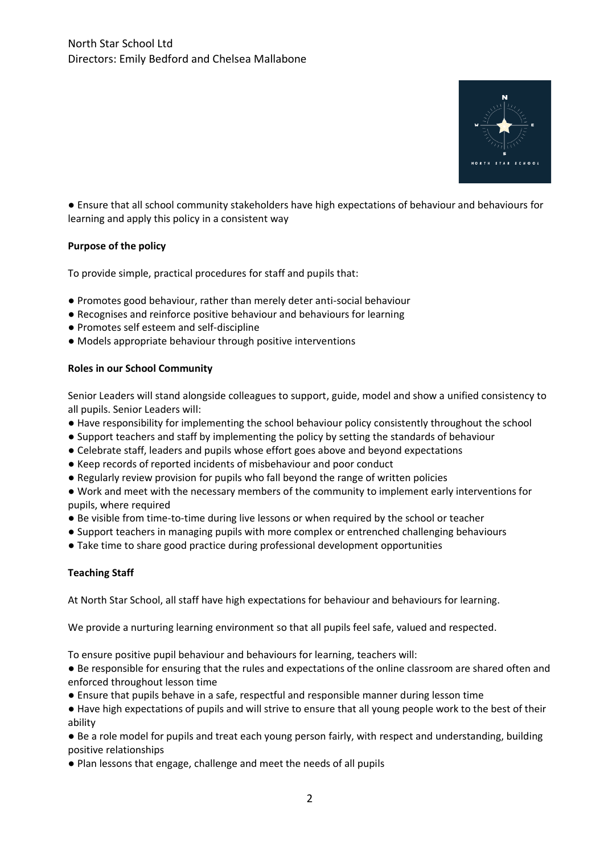

● Ensure that all school community stakeholders have high expectations of behaviour and behaviours for learning and apply this policy in a consistent way

### **Purpose of the policy**

To provide simple, practical procedures for staff and pupils that:

- Promotes good behaviour, rather than merely deter anti-social behaviour
- Recognises and reinforce positive behaviour and behaviours for learning
- Promotes self esteem and self-discipline
- Models appropriate behaviour through positive interventions

#### **Roles in our School Community**

Senior Leaders will stand alongside colleagues to support, guide, model and show a unified consistency to all pupils. Senior Leaders will:

- Have responsibility for implementing the school behaviour policy consistently throughout the school
- Support teachers and staff by implementing the policy by setting the standards of behaviour
- Celebrate staff, leaders and pupils whose effort goes above and beyond expectations
- Keep records of reported incidents of misbehaviour and poor conduct
- Regularly review provision for pupils who fall beyond the range of written policies

● Work and meet with the necessary members of the community to implement early interventions for pupils, where required

- Be visible from time-to-time during live lessons or when required by the school or teacher
- Support teachers in managing pupils with more complex or entrenched challenging behaviours
- Take time to share good practice during professional development opportunities

#### **Teaching Staff**

At North Star School, all staff have high expectations for behaviour and behaviours for learning.

We provide a nurturing learning environment so that all pupils feel safe, valued and respected.

To ensure positive pupil behaviour and behaviours for learning, teachers will:

- Be responsible for ensuring that the rules and expectations of the online classroom are shared often and enforced throughout lesson time
- Ensure that pupils behave in a safe, respectful and responsible manner during lesson time
- Have high expectations of pupils and will strive to ensure that all young people work to the best of their ability

● Be a role model for pupils and treat each young person fairly, with respect and understanding, building positive relationships

● Plan lessons that engage, challenge and meet the needs of all pupils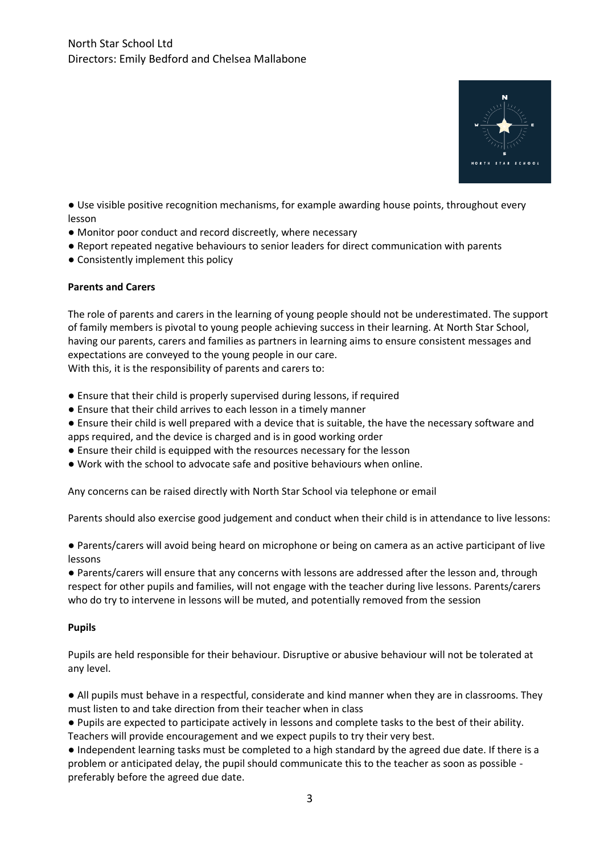

● Use visible positive recognition mechanisms, for example awarding house points, throughout every lesson

- Monitor poor conduct and record discreetly, where necessary
- Report repeated negative behaviours to senior leaders for direct communication with parents
- Consistently implement this policy

#### **Parents and Carers**

The role of parents and carers in the learning of young people should not be underestimated. The support of family members is pivotal to young people achieving success in their learning. At North Star School, having our parents, carers and families as partners in learning aims to ensure consistent messages and expectations are conveyed to the young people in our care. With this, it is the responsibility of parents and carers to:

● Ensure that their child is properly supervised during lessons, if required

- Ensure that their child arrives to each lesson in a timely manner
- Ensure their child is well prepared with a device that is suitable, the have the necessary software and apps required, and the device is charged and is in good working order
- Ensure their child is equipped with the resources necessary for the lesson
- Work with the school to advocate safe and positive behaviours when online.

Any concerns can be raised directly with North Star School via telephone or email

Parents should also exercise good judgement and conduct when their child is in attendance to live lessons:

● Parents/carers will avoid being heard on microphone or being on camera as an active participant of live lessons

● Parents/carers will ensure that any concerns with lessons are addressed after the lesson and, through respect for other pupils and families, will not engage with the teacher during live lessons. Parents/carers who do try to intervene in lessons will be muted, and potentially removed from the session

#### **Pupils**

Pupils are held responsible for their behaviour. Disruptive or abusive behaviour will not be tolerated at any level.

● All pupils must behave in a respectful, considerate and kind manner when they are in classrooms. They must listen to and take direction from their teacher when in class

● Pupils are expected to participate actively in lessons and complete tasks to the best of their ability. Teachers will provide encouragement and we expect pupils to try their very best.

● Independent learning tasks must be completed to a high standard by the agreed due date. If there is a problem or anticipated delay, the pupil should communicate this to the teacher as soon as possible preferably before the agreed due date.